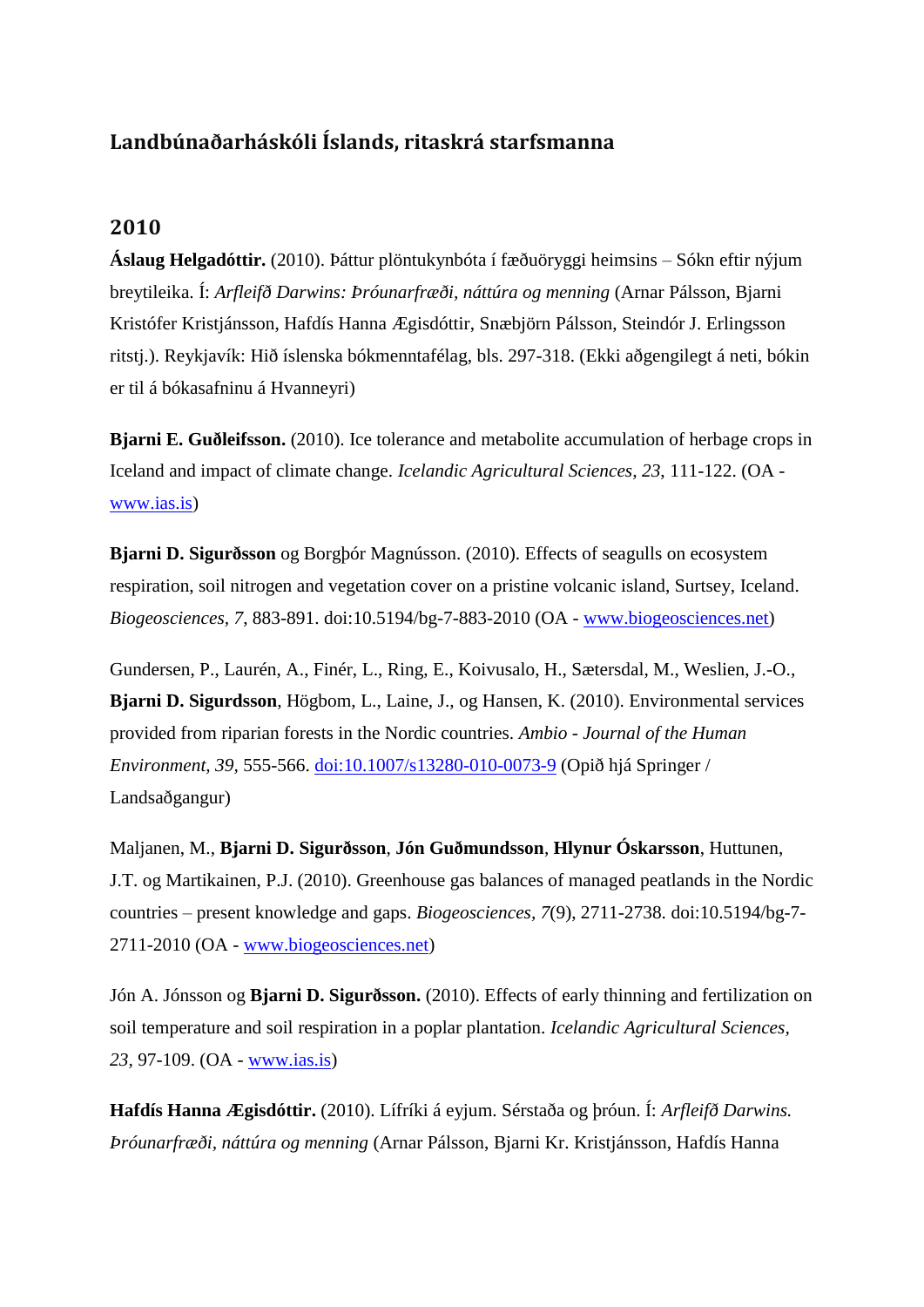## **Landbúnaðarháskóli Íslands, ritaskrá starfsmanna**

## **2010**

**Áslaug Helgadóttir.** (2010). Þáttur plöntukynbóta í fæðuöryggi heimsins – Sókn eftir nýjum breytileika. Í: *Arfleifð Darwins: Þróunarfræði, náttúra og menning* (Arnar Pálsson, Bjarni Kristófer Kristjánsson, Hafdís Hanna Ægisdóttir, Snæbjörn Pálsson, Steindór J. Erlingsson ritstj.). Reykjavík: Hið íslenska bókmenntafélag, bls. 297-318. (Ekki aðgengilegt á neti, bókin er til á bókasafninu á Hvanneyri)

**Bjarni E. Guðleifsson.** (2010). Ice tolerance and metabolite accumulation of herbage crops in Iceland and impact of climate change. *Icelandic Agricultural Sciences, 23*, 111-122. (OA [www.ias.is\)](http://www.ias.is/landbunadur/wgsamvef.nsf/Attachment/IAS10_BjarniGudleifsson/$file/IAS10_BjarniGudleifsson.pdf)

**Bjarni D. Sigurðsson** og Borgþór Magnússon. (2010). Effects of seagulls on ecosystem respiration, soil nitrogen and vegetation cover on a pristine volcanic island, Surtsey, Iceland. *Biogeosciences, 7*, 883-891. doi:10.5194/bg-7-883-2010 (OA - [www.biogeosciences.net\)](http://www.biogeosciences.net/7/883/2010/bg-7-883-2010.pdf)

Gundersen, P., Laurén, A., Finér, L., Ring, E., Koivusalo, H., Sætersdal, M., Weslien, J.-O., **Bjarni D. Sigurdsson**, Högbom, L., Laine, J., og Hansen, K. (2010). Environmental services provided from riparian forests in the Nordic countries. *Ambio - Journal of the Human Environment, 39,* 555-566. [doi:10.1007/s13280-010-0073-9](http://link.springer.com/article/10.1007/s13280-010-0073-9#page-1) (Opið hjá Springer / Landsaðgangur)

Maljanen, M., **Bjarni D. Sigurðsson**, **Jón Guðmundsson**, **Hlynur Óskarsson**, Huttunen, J.T. og Martikainen, P.J. (2010). Greenhouse gas balances of managed peatlands in the Nordic countries – present knowledge and gaps. *Biogeosciences, 7*(9), 2711-2738. doi:10.5194/bg-7- 2711-2010 (OA - [www.biogeosciences.net\)](http://www.biogeosciences.net/7/2711/2010/bg-7-2711-2010.pdf)

Jón A. Jónsson og **Bjarni D. Sigurðsson.** (2010). Effects of early thinning and fertilization on soil temperature and soil respiration in a poplar plantation. *Icelandic Agricultural Sciences, 23,* 97-109. (OA - [www.ias.is\)](http://www.ias.is/landbunadur/wgsamvef.nsf/Attachment/IAS10_JonAJonssonetal/$file/IAS10_JonAJonssonetal.pdf)

**Hafdís Hanna Ægisdóttir.** (2010). Lífríki á eyjum. Sérstaða og þróun. Í: *Arfleifð Darwins. Þróunarfræði, náttúra og menning* (Arnar Pálsson, Bjarni Kr. Kristjánsson, Hafdís Hanna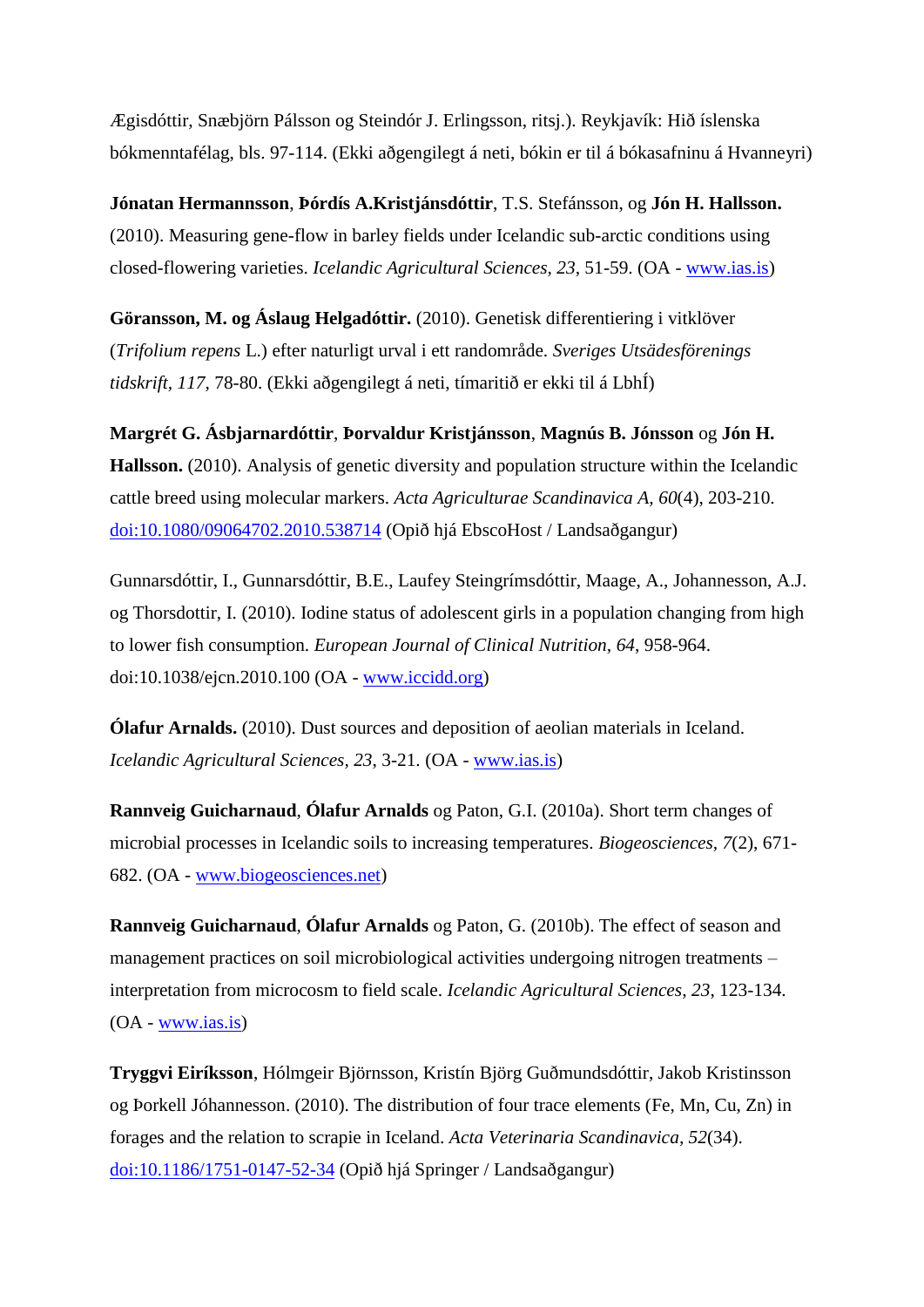Ægisdóttir, Snæbjörn Pálsson og Steindór J. Erlingsson, ritsj.). Reykjavík: Hið íslenska bókmenntafélag, bls. 97-114. (Ekki aðgengilegt á neti, bókin er til á bókasafninu á Hvanneyri)

**Jónatan Hermannsson**, **Þórdís A.Kristjánsdóttir**, T.S. Stefánsson, og **Jón H. Hallsson.** (2010). Measuring gene-flow in barley fields under Icelandic sub-arctic conditions using closed-flowering varieties. *Icelandic Agricultural Sciences, 23*, 51-59. (OA - [www.ias.is\)](http://www.ias.is/landbunadur/wgsamvef.nsf/Attachment/IAS10_JonatanHermannssonetal/$file/IAS10_JonatanHermannssonetal.pdf)

**Göransson, M. og Áslaug Helgadóttir.** (2010). Genetisk differentiering i vitklöver (*Trifolium repens* L.) efter naturligt urval i ett randområde. *Sveriges Utsädesförenings tidskrift, 117,* 78-80. (Ekki aðgengilegt á neti, tímaritið er ekki til á LbhÍ)

**Margrét G. Ásbjarnardóttir**, **Þorvaldur Kristjánsson**, **Magnús B. Jónsson** og **Jón H. Hallsson.** (2010). Analysis of genetic diversity and population structure within the Icelandic cattle breed using molecular markers. *Acta Agriculturae Scandinavica A, 60*(4), 203-210. [doi:10.1080/09064702.2010.538714](http://ehis.ebscohost.com/eds/detail?sid=6ea4d487-9e60-446e-93e4-379dba021c69%40sessionmgr4&vid=1&hid=6&bdata=JnNpdGU9ZWRzLWxpdmU%3d#db=aph&AN=55725904) (Opið hjá EbscoHost / Landsaðgangur)

Gunnarsdóttir, I., Gunnarsdóttir, B.E., Laufey Steingrímsdóttir, Maage, A., Johannesson, A.J. og Thorsdottir, I. (2010). Iodine status of adolescent girls in a population changing from high to lower fish consumption. *European Journal of Clinical Nutrition, 64*, 958-964. doi:10.1038/ejcn.2010.100 (OA - [www.iccidd.org\)](http://www.iccidd.org/cm_data/2010_Gunnarsdottir_Iodine_status_of_adolescent_girls_in_a_population_changing_from_high_to_lower_fish_consumption_EJCN.pdf)

**Ólafur Arnalds.** (2010). Dust sources and deposition of aeolian materials in Iceland. *Icelandic Agricultural Sciences, 23*, 3-21. (OA - [www.ias.is\)](http://www.ias.is/landbunadur/wgsamvef.nsf/Attachment/IAS10_OlafurArnalds/$file/IAS10_OlafurArnalds.pdf)

**Rannveig Guicharnaud**, **Ólafur Arnalds** og Paton, G.I. (2010a). Short term changes of microbial processes in Icelandic soils to increasing temperatures. *Biogeosciences, 7*(2), 671- 682. (OA - [www.biogeosciences.net\)](http://www.biogeosciences.net/7/671/2010/bg-7-671-2010.pdf)

**Rannveig Guicharnaud**, **Ólafur Arnalds** og Paton, G. (2010b). The effect of season and management practices on soil microbiological activities undergoing nitrogen treatments – interpretation from microcosm to field scale. *Icelandic Agricultural Sciences, 23*, 123-134. (OA - [www.ias.is\)](http://www.ias.is/landbunadur/wgsamvef.nsf/Attachment/IAS10_RannveigGuicharnaudetal/$file/IAS10_RannveigGuicharnaudetal.pdf)

**Tryggvi Eiríksson**, Hólmgeir Björnsson, Kristín Björg Guðmundsdóttir, Jakob Kristinsson og Þorkell Jóhannesson. (2010). The distribution of four trace elements (Fe, Mn, Cu, Zn) in forages and the relation to scrapie in Iceland. *Acta Veterinaria Scandinavica, 52*(34). [doi:10.1186/1751-0147-52-34](http://link.springer.com/article/10.1186%2F1751-0147-52-34#page-1) (Opið hjá Springer / Landsaðgangur)